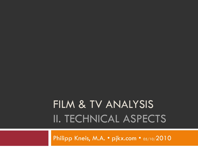# FILM & TV ANALYSIS II. TECHNICAL ASPECTS

Philipp Kneis, M.A. • pjkx.com • 05/10/2010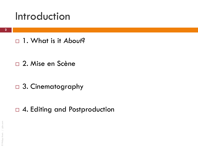### Introduction

1. What is it *About*?

- □ 2. Mise en Scène
- □ 3. Cinematography

□ 4. Editing and Postproduction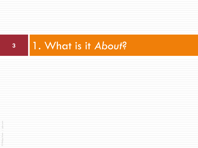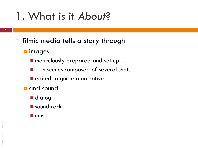- $\Box$  filmic media tells a story through
	- **<u>n</u>** images
		- meticulously prepared and set up...
		- ...in scenes composed of several shots
		- edited to guide a narrative
	- **a** and sound
		- dialog
		- soundtrack
		- $\blacksquare$  music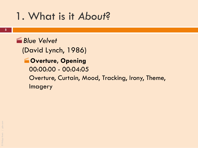**English** Blue Velvet (David Lynch, 1986) **WOVERTURE, Opening** 00:00:00 - 00:04:05 Overture, Curtain, Mood, Tracking, Irony, Theme, Imagery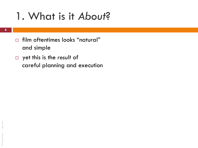- film oftentimes looks "natural" and simple
- yet this is the *result* of careful planning and execution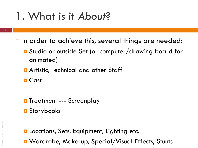- **7**
- $\Box$  In order to achieve this, several things are needed:
	- Studio or outside Set (or computer/drawing board for animated)
	- **E** Artistic, Technical and other Staff
	- **O** Cast
	- **O** Treatment --- Screenplay
	- **D** Storybooks
	- **Q** Locations, Sets, Equipment, Lighting etc. ■ Wardrobe, Make-up, Special/Visual Effects, Stunts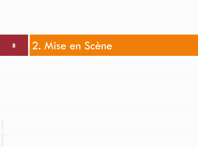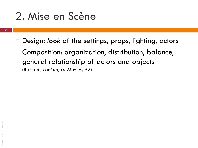### 2. Mise en Scène

- **9**
- □ Design: look of the settings, props, lighting, actors
- □ Composition: organization, distribution, balance, general relationship of actors and objects (Barzam, *Looking at Movies*, 92)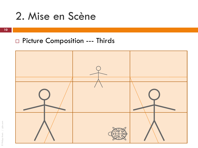### 2. Mise en Scène

**10**

#### □ Picture Composition --- Thirds



© Philipp Kneis / pjkx.com pikx.cor © Philipp Kneis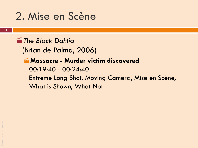### 2. Mise en Scène

*The Black Dahlia*

(Brian de Palma, 2006)

#### **Massacre - Murder victim discovered**

00:19:40 - 00:24:40 Extreme Long Shot, Moving Camera, Mise en Scène, What is Shown, What Not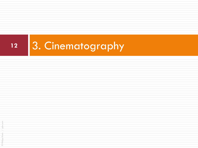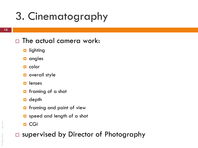#### □ The actual camera work:

- **<u>n</u>** lighting
- $\Box$  angles
- $\Box$  color
- **D** overall style
- $\Box$  lenses
- **n** framing of a shot
- $\blacksquare$  depth
- **D** framing and point of view
- **D** speed and length of a shot
- **D** CGI

□ supervised by Director of Photography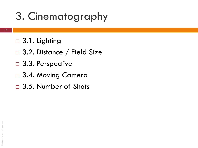- □ 3.1. Lighting
- □ 3.2. Distance / Field Size
- □ 3.3. Perspective
- □ 3.4. Moving Camera
- □ 3.5. Number of Shots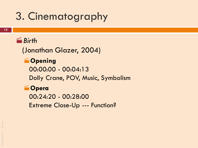#### *Birth*

(Jonathan Glazer, 2004)

#### **Cpening**

00:00:00 - 00:04:13 Dolly Crane, POV, Music, Symbolism

#### **Opera**

00:24:20 - 00:28:00 Extreme Close-Up --- Function?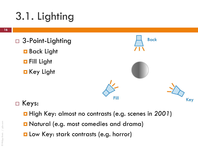# 3.1. Lighting

- □ 3-Point-Lighting
	- **Back Light**
	- **D** Fill Light
	- **E** Key Light



#### □ Keys:

- High Key: almost no contrasts (e.g. scenes in *2001*)
- **D** Natural (e.g. most comedies and drama)
- **L** Low Key: stark contrasts (e.g. horror)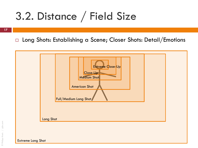## 3.2. Distance / Field Size

**17**

□ Long Shots: Establishing a Scene; Closer Shots: Detail/Emotions



Extreme Long Shot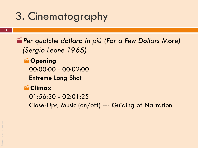*Per qualche dollaro in più (For a Few Dollars More) (Sergio Leone 1965)*

**Copening** 00:00:00 - 00:02:00 Extreme Long Shot

#### **Climax**

01:56:30 - 02:01:25

Close-Ups, Music (on/off) --- Guiding of Narration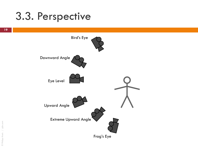### 3.3. Perspective

Bird's Eye

Frog's Eye



**19**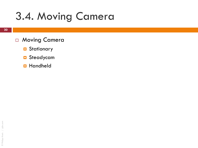## 3.4. Moving Camera

- □ Moving Camera
	- **D** Stationary
	- **D** Steadycam
	- **Handheld**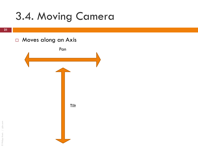## 3.4. Moving Camera

**21**

© Philipp Kneis / pjkx.com

© Philipp Kneis

/ pikx.com

#### □ Moves along an Axis

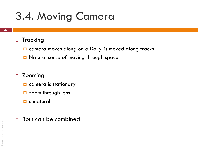## 3.4. Moving Camera

#### □ Tracking

- $\Box$  camera moves along on a Dolly, is moved along tracks
- **D** Natural sense of moving through space

#### □ Zooming

- **Q** camera is stationary
- $\Box$  zoom through lens
- **unnatural**
- □ Both can be combined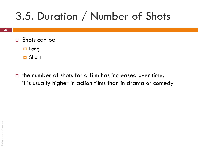## 3.5. Duration / Number of Shots

- $\Box$  Shots can be
	- **Long**
	- **D** Short
- $\Box$  the number of shots for a film has increased over time, it is usually higher in action films than in drama or comedy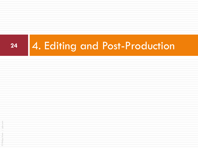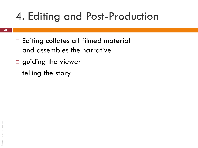## 4. Editing and Post-Production

- □ Editing collates all filmed material and assembles the narrative
- $\square$  guiding the viewer
- $\Box$  telling the story